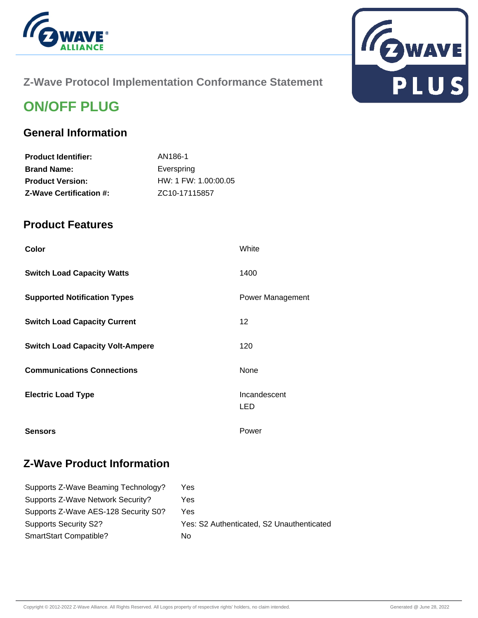



### **Z-Wave Protocol Implementation Conformance Statement**

# **ON/OFF PLUG**

### **General Information**

| <b>Product Identifier:</b>     | AN186-1                    |
|--------------------------------|----------------------------|
| <b>Brand Name:</b>             | Everspring                 |
| <b>Product Version:</b>        | HW: 1 FW: 1.00:00.05       |
| <b>Z-Wave Certification #:</b> | ZC <sub>10</sub> -17115857 |

#### **Product Features**

| Color                                   | White               |
|-----------------------------------------|---------------------|
| <b>Switch Load Capacity Watts</b>       | 1400                |
| <b>Supported Notification Types</b>     | Power Management    |
| <b>Switch Load Capacity Current</b>     | 12                  |
| <b>Switch Load Capacity Volt-Ampere</b> | 120                 |
| <b>Communications Connections</b>       | None                |
| <b>Electric Load Type</b>               | Incandescent<br>LED |
| <b>Sensors</b>                          | Power               |

### **Z-Wave Product Information**

| Supports Z-Wave Beaming Technology?  | Yes                                       |
|--------------------------------------|-------------------------------------------|
| Supports Z-Wave Network Security?    | Yes                                       |
| Supports Z-Wave AES-128 Security S0? | Yes.                                      |
| Supports Security S2?                | Yes: S2 Authenticated, S2 Unauthenticated |
| SmartStart Compatible?               | Nο                                        |